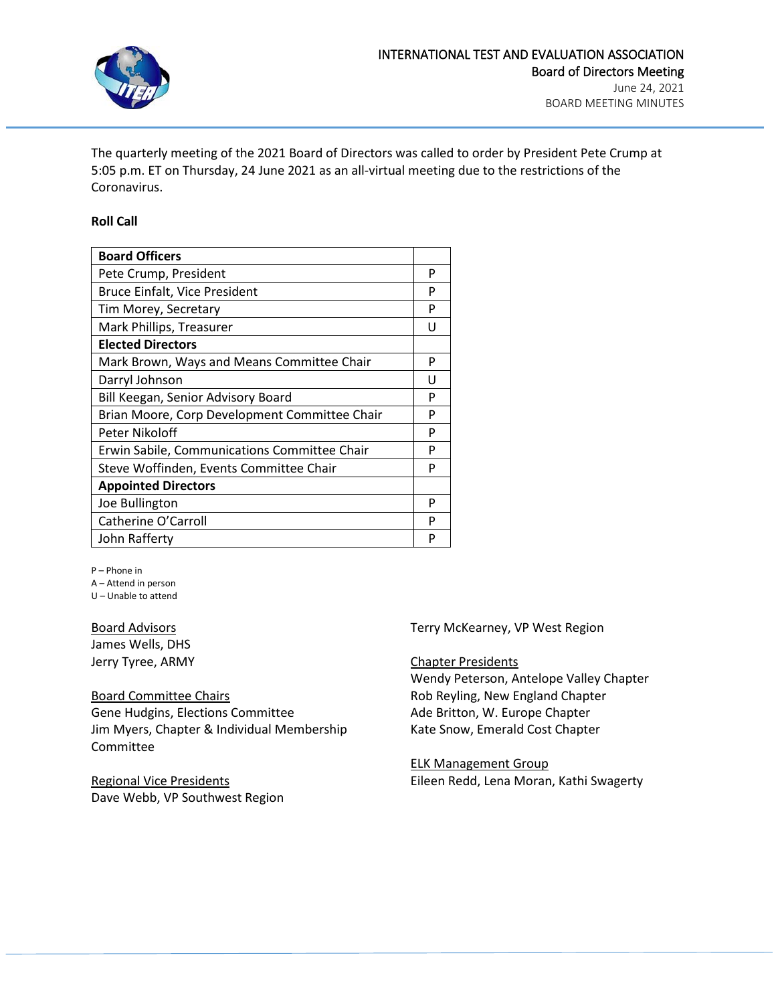

The quarterly meeting of the 2021 Board of Directors was called to order by President Pete Crump at 5:05 p.m. ET on Thursday, 24 June 2021 as an all-virtual meeting due to the restrictions of the Coronavirus.

#### **Roll Call**

| <b>Board Officers</b>                         |   |
|-----------------------------------------------|---|
| Pete Crump, President                         | P |
| <b>Bruce Einfalt, Vice President</b>          | P |
| Tim Morey, Secretary                          | P |
| Mark Phillips, Treasurer                      | U |
| <b>Elected Directors</b>                      |   |
| Mark Brown, Ways and Means Committee Chair    | P |
| Darryl Johnson                                | U |
| Bill Keegan, Senior Advisory Board            | P |
| Brian Moore, Corp Development Committee Chair | P |
| Peter Nikoloff                                | P |
| Erwin Sabile, Communications Committee Chair  | P |
| Steve Woffinden, Events Committee Chair       | P |
| <b>Appointed Directors</b>                    |   |
| Joe Bullington                                | P |
| Catherine O'Carroll                           | P |
| John Rafferty                                 | Р |

P – Phone in

A – Attend in person

U – Unable to attend

Board Advisors James Wells, DHS Jerry Tyree, ARMY

Board Committee Chairs Gene Hudgins, Elections Committee Jim Myers, Chapter & Individual Membership Committee

Regional Vice Presidents Dave Webb, VP Southwest Region Terry McKearney, VP West Region

Chapter Presidents Wendy Peterson, Antelope Valley Chapter Rob Reyling, New England Chapter Ade Britton, W. Europe Chapter Kate Snow, Emerald Cost Chapter

ELK Management Group Eileen Redd, Lena Moran, Kathi Swagerty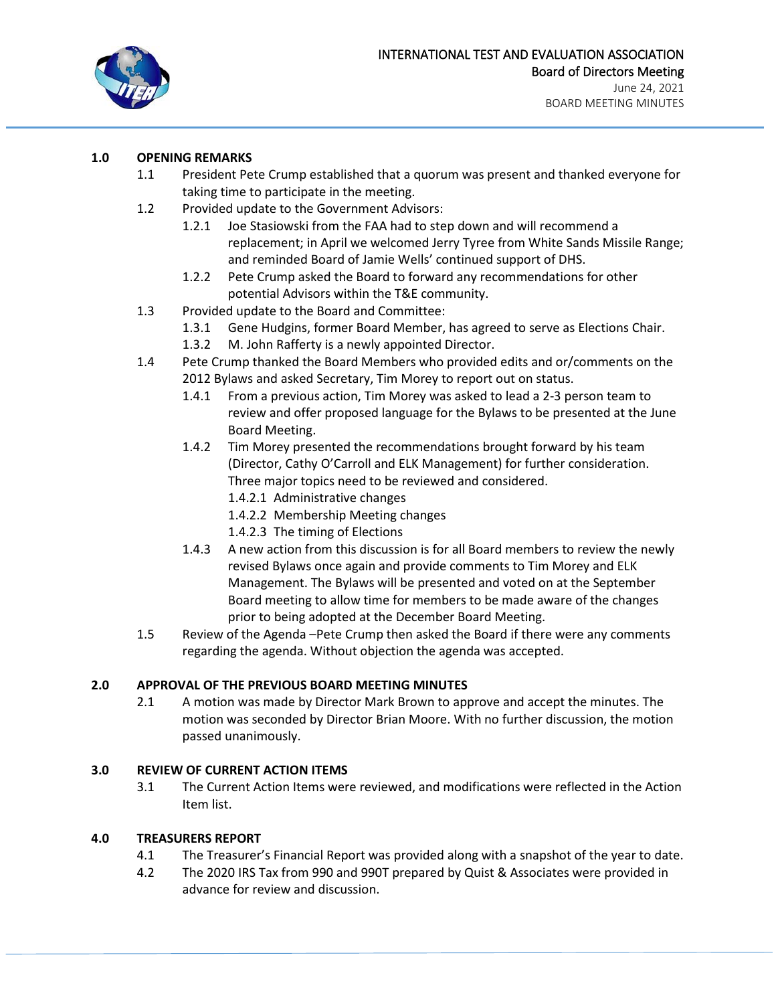

### **1.0 OPENING REMARKS**

- 1.1 President Pete Crump established that a quorum was present and thanked everyone for taking time to participate in the meeting.
- 1.2 Provided update to the Government Advisors:
	- 1.2.1 Joe Stasiowski from the FAA had to step down and will recommend a replacement; in April we welcomed Jerry Tyree from White Sands Missile Range; and reminded Board of Jamie Wells' continued support of DHS.
	- 1.2.2 Pete Crump asked the Board to forward any recommendations for other potential Advisors within the T&E community.
- 1.3 Provided update to the Board and Committee:
	- 1.3.1 Gene Hudgins, former Board Member, has agreed to serve as Elections Chair.
	- 1.3.2 M. John Rafferty is a newly appointed Director.
- 1.4 Pete Crump thanked the Board Members who provided edits and or/comments on the 2012 Bylaws and asked Secretary, Tim Morey to report out on status.
	- 1.4.1 From a previous action, Tim Morey was asked to lead a 2-3 person team to review and offer proposed language for the Bylaws to be presented at the June Board Meeting.
	- 1.4.2 Tim Morey presented the recommendations brought forward by his team (Director, Cathy O'Carroll and ELK Management) for further consideration. Three major topics need to be reviewed and considered.
		- 1.4.2.1 Administrative changes
		- 1.4.2.2 Membership Meeting changes
		- 1.4.2.3 The timing of Elections
	- 1.4.3 A new action from this discussion is for all Board members to review the newly revised Bylaws once again and provide comments to Tim Morey and ELK Management. The Bylaws will be presented and voted on at the September Board meeting to allow time for members to be made aware of the changes prior to being adopted at the December Board Meeting.
- 1.5 Review of the Agenda –Pete Crump then asked the Board if there were any comments regarding the agenda. Without objection the agenda was accepted.

### **2.0 APPROVAL OF THE PREVIOUS BOARD MEETING MINUTES**

2.1 A motion was made by Director Mark Brown to approve and accept the minutes. The motion was seconded by Director Brian Moore. With no further discussion, the motion passed unanimously.

### **3.0 REVIEW OF CURRENT ACTION ITEMS**

3.1 The Current Action Items were reviewed, and modifications were reflected in the Action Item list.

### **4.0 TREASURERS REPORT**

- 4.1 The Treasurer's Financial Report was provided along with a snapshot of the year to date.
- 4.2 The 2020 IRS Tax from 990 and 990T prepared by Quist & Associates were provided in advance for review and discussion.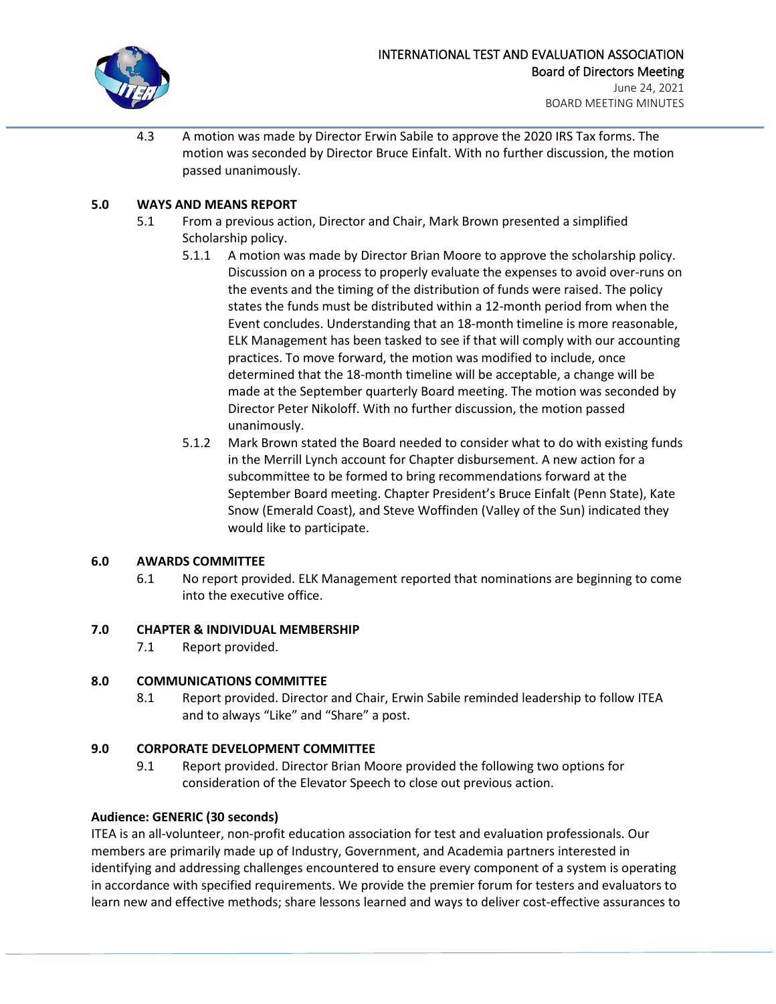

4.3 A motion was made by Director Erwin Sabile to approve the 2020 IRS Tax forms. The motion was seconded by Director Bruce Einfalt. With no further discussion, the motion passed unanimously.

# **5.0 WAYS AND MEANS REPORT**

- 5.1 From a previous action, Director and Chair, Mark Brown presented a simplified Scholarship policy.
	- 5.1.1 A motion was made by Director Brian Moore to approve the scholarship policy. Discussion on a process to properly evaluate the expenses to avoid over-runs on the events and the timing of the distribution of funds were raised. The policy states the funds must be distributed within a 12-month period from when the Event concludes. Understanding that an 18-month timeline is more reasonable, ELK Management has been tasked to see if that will comply with our accounting practices. To move forward, the motion was modified to include, once determined that the 18-month timeline will be acceptable, a change will be made at the September quarterly Board meeting. The motion was seconded by Director Peter Nikoloff. With no further discussion, the motion passed unanimously.
	- 5.1.2 Mark Brown stated the Board needed to consider what to do with existing funds in the Merrill Lynch account for Chapter disbursement. A new action for a subcommittee to be formed to bring recommendations forward at the September Board meeting. Chapter President's Bruce Einfalt (Penn State), Kate Snow (Emerald Coast), and Steve Woffinden (Valley of the Sun) indicated they would like to participate.

### **6.0 AWARDS COMMITTEE**

6.1 No report provided. ELK Management reported that nominations are beginning to come into the executive office.

### **7.0 CHAPTER & INDIVIDUAL MEMBERSHIP**

7.1 Report provided.

### **8.0 COMMUNICATIONS COMMITTEE**

8.1 Report provided. Director and Chair, Erwin Sabile reminded leadership to follow ITEA and to always "Like" and "Share" a post.

### **9.0 CORPORATE DEVELOPMENT COMMITTEE**

9.1 Report provided. Director Brian Moore provided the following two options for consideration of the Elevator Speech to close out previous action.

### **Audience: GENERIC (30 seconds)**

ITEA is an all-volunteer, non-profit education association for test and evaluation professionals. Our members are primarily made up of Industry, Government, and Academia partners interested in identifying and addressing challenges encountered to ensure every component of a system is operating in accordance with specified requirements. We provide the premier forum for testers and evaluators to learn new and effective methods; share lessons learned and ways to deliver cost-effective assurances to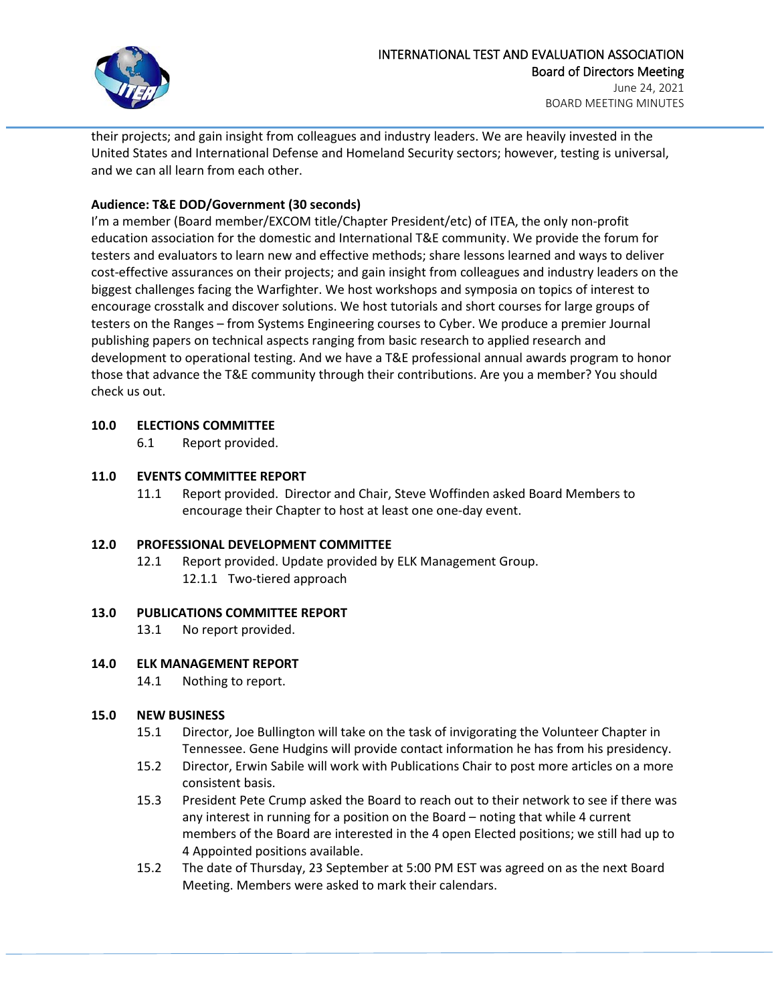

their projects; and gain insight from colleagues and industry leaders. We are heavily invested in the United States and International Defense and Homeland Security sectors; however, testing is universal, and we can all learn from each other.

### **Audience: T&E DOD/Government (30 seconds)**

I'm a member (Board member/EXCOM title/Chapter President/etc) of ITEA, the only non-profit education association for the domestic and International T&E community. We provide the forum for testers and evaluators to learn new and effective methods; share lessons learned and ways to deliver cost-effective assurances on their projects; and gain insight from colleagues and industry leaders on the biggest challenges facing the Warfighter. We host workshops and symposia on topics of interest to encourage crosstalk and discover solutions. We host tutorials and short courses for large groups of testers on the Ranges – from Systems Engineering courses to Cyber. We produce a premier Journal publishing papers on technical aspects ranging from basic research to applied research and development to operational testing. And we have a T&E professional annual awards program to honor those that advance the T&E community through their contributions. Are you a member? You should check us out.

### **10.0 ELECTIONS COMMITTEE**

6.1 Report provided.

# **11.0 EVENTS COMMITTEE REPORT**

11.1 Report provided. Director and Chair, Steve Woffinden asked Board Members to encourage their Chapter to host at least one one-day event.

### **12.0 PROFESSIONAL DEVELOPMENT COMMITTEE**

12.1 Report provided. Update provided by ELK Management Group. 12.1.1 Two-tiered approach

### **13.0 PUBLICATIONS COMMITTEE REPORT**

13.1 No report provided.

# **14.0 ELK MANAGEMENT REPORT**

14.1 Nothing to report.

### **15.0 NEW BUSINESS**

- 15.1 Director, Joe Bullington will take on the task of invigorating the Volunteer Chapter in Tennessee. Gene Hudgins will provide contact information he has from his presidency.
- 15.2 Director, Erwin Sabile will work with Publications Chair to post more articles on a more consistent basis.
- 15.3 President Pete Crump asked the Board to reach out to their network to see if there was any interest in running for a position on the Board – noting that while 4 current members of the Board are interested in the 4 open Elected positions; we still had up to 4 Appointed positions available.
- 15.2 The date of Thursday, 23 September at 5:00 PM EST was agreed on as the next Board Meeting. Members were asked to mark their calendars.